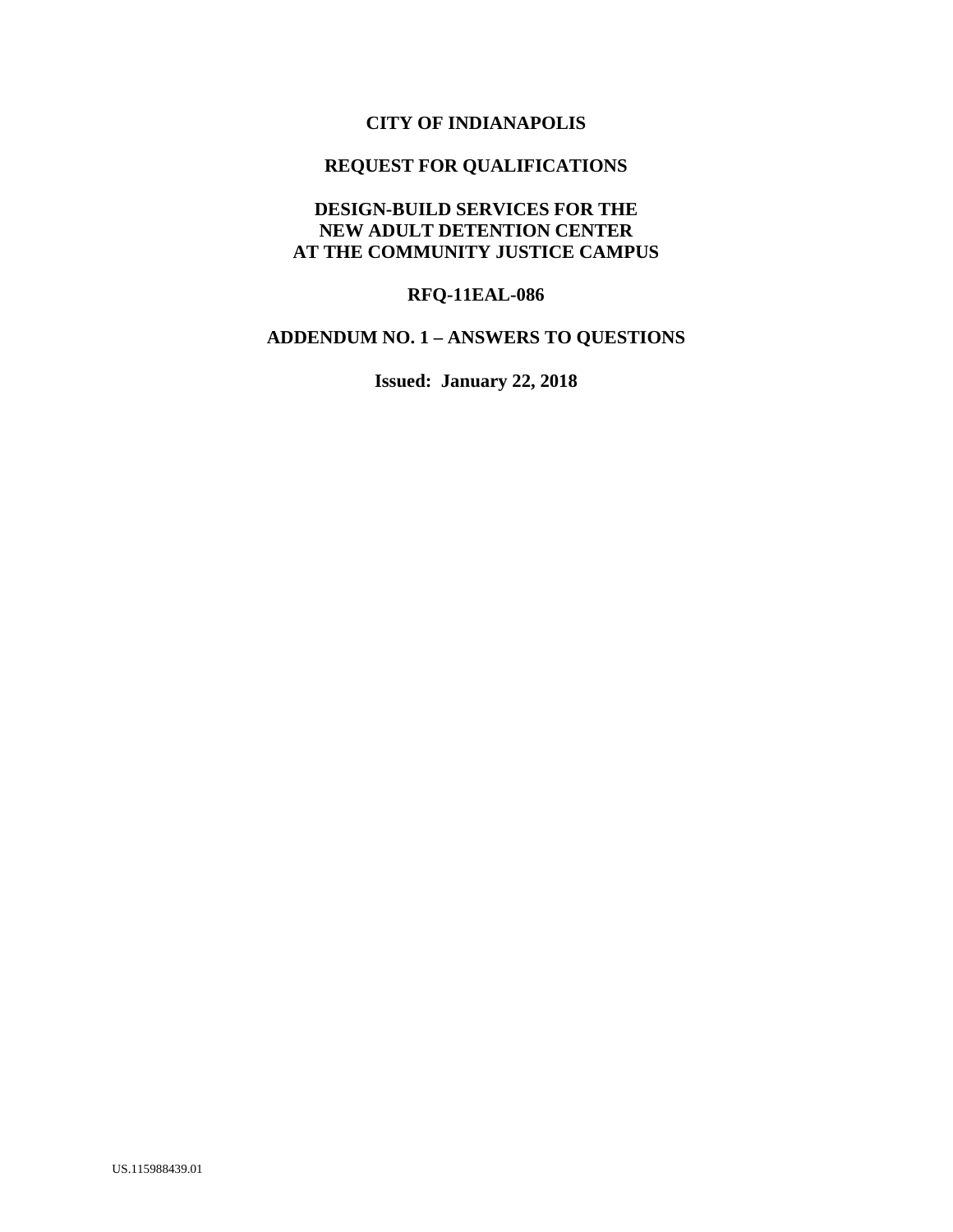### **CITY OF INDIANAPOLIS**

# **REQUEST FOR QUALIFICATIONS**

### **DESIGN-BUILD SERVICES FOR THE NEW ADULT DETENTION CENTER AT THE COMMUNITY JUSTICE CAMPUS**

## **RFQ-11EAL-086**

## **ADDENDUM NO. 1 – ANSWERS TO QUESTIONS**

**Issued: January 22, 2018**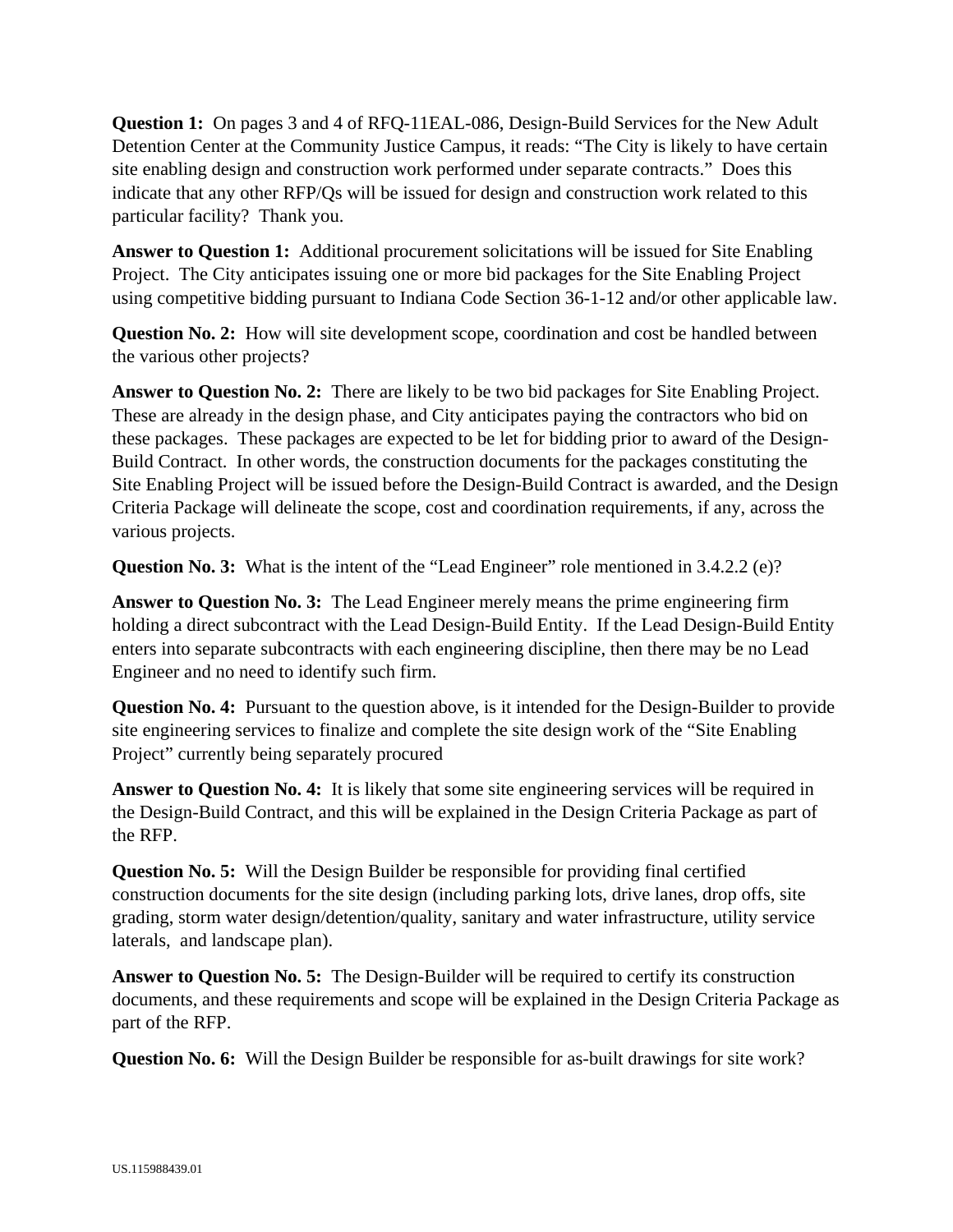**Question 1:** On pages 3 and 4 of RFQ-11EAL-086, Design-Build Services for the New Adult Detention Center at the Community Justice Campus, it reads: "The City is likely to have certain site enabling design and construction work performed under separate contracts." Does this indicate that any other RFP/Qs will be issued for design and construction work related to this particular facility? Thank you.

**Answer to Question 1:** Additional procurement solicitations will be issued for Site Enabling Project. The City anticipates issuing one or more bid packages for the Site Enabling Project using competitive bidding pursuant to Indiana Code Section 36-1-12 and/or other applicable law.

**Question No. 2:** How will site development scope, coordination and cost be handled between the various other projects?

**Answer to Question No. 2:** There are likely to be two bid packages for Site Enabling Project. These are already in the design phase, and City anticipates paying the contractors who bid on these packages. These packages are expected to be let for bidding prior to award of the Design-Build Contract. In other words, the construction documents for the packages constituting the Site Enabling Project will be issued before the Design-Build Contract is awarded, and the Design Criteria Package will delineate the scope, cost and coordination requirements, if any, across the various projects.

**Question No. 3:** What is the intent of the "Lead Engineer" role mentioned in 3.4.2.2 (e)?

**Answer to Question No. 3:** The Lead Engineer merely means the prime engineering firm holding a direct subcontract with the Lead Design-Build Entity. If the Lead Design-Build Entity enters into separate subcontracts with each engineering discipline, then there may be no Lead Engineer and no need to identify such firm.

**Question No. 4:** Pursuant to the question above, is it intended for the Design-Builder to provide site engineering services to finalize and complete the site design work of the "Site Enabling Project" currently being separately procured

**Answer to Question No. 4:** It is likely that some site engineering services will be required in the Design-Build Contract, and this will be explained in the Design Criteria Package as part of the RFP.

**Question No. 5:** Will the Design Builder be responsible for providing final certified construction documents for the site design (including parking lots, drive lanes, drop offs, site grading, storm water design/detention/quality, sanitary and water infrastructure, utility service laterals, and landscape plan).

**Answer to Question No. 5:** The Design-Builder will be required to certify its construction documents, and these requirements and scope will be explained in the Design Criteria Package as part of the RFP.

**Question No. 6:** Will the Design Builder be responsible for as-built drawings for site work?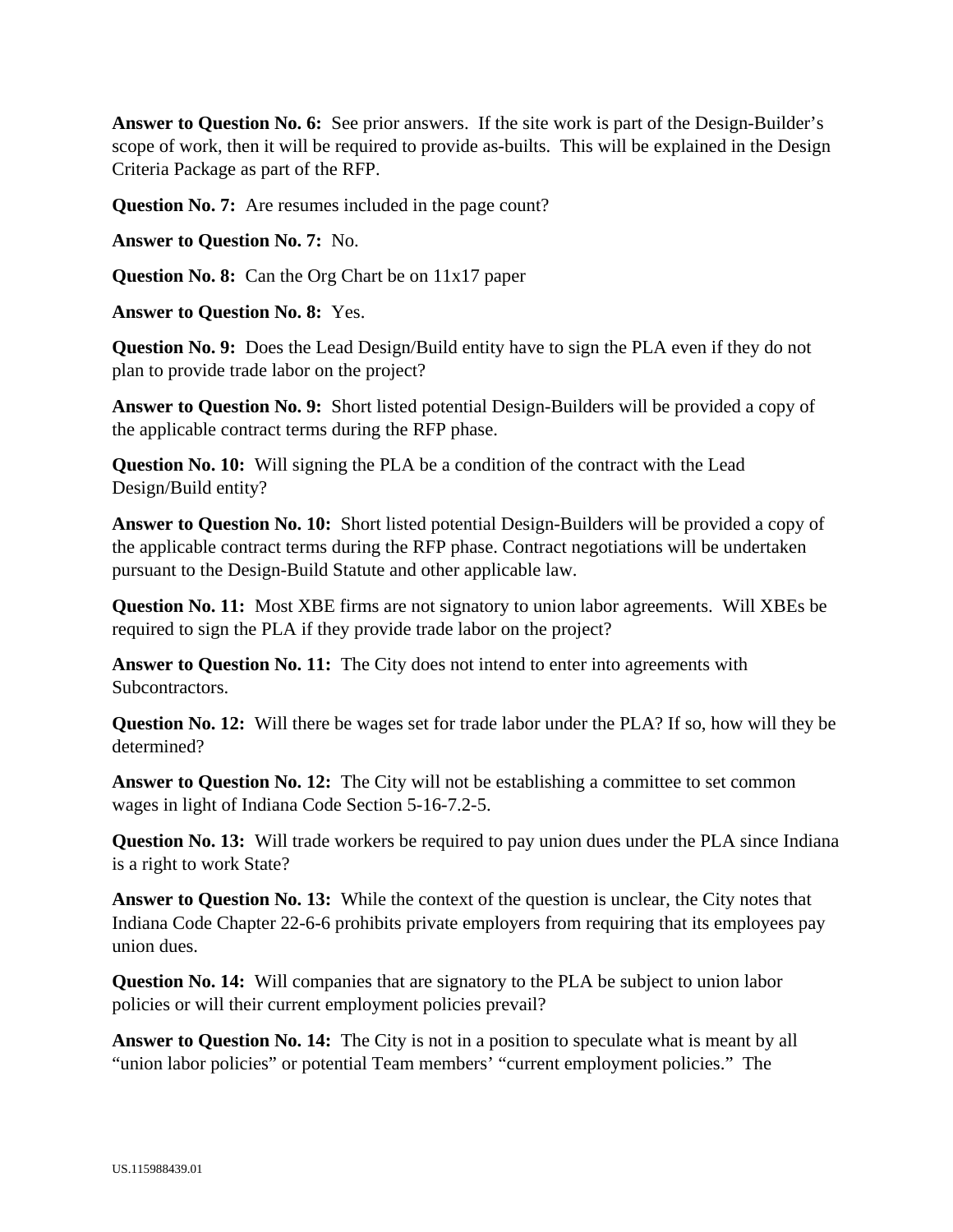**Answer to Question No. 6:** See prior answers. If the site work is part of the Design-Builder's scope of work, then it will be required to provide as-builts. This will be explained in the Design Criteria Package as part of the RFP.

**Question No. 7:** Are resumes included in the page count?

**Answer to Question No. 7:** No.

**Question No. 8:** Can the Org Chart be on 11x17 paper

**Answer to Question No. 8:** Yes.

**Question No. 9:** Does the Lead Design/Build entity have to sign the PLA even if they do not plan to provide trade labor on the project?

**Answer to Question No. 9:** Short listed potential Design-Builders will be provided a copy of the applicable contract terms during the RFP phase.

**Question No. 10:** Will signing the PLA be a condition of the contract with the Lead Design/Build entity?

**Answer to Question No. 10:** Short listed potential Design-Builders will be provided a copy of the applicable contract terms during the RFP phase. Contract negotiations will be undertaken pursuant to the Design-Build Statute and other applicable law.

**Question No. 11:** Most XBE firms are not signatory to union labor agreements. Will XBEs be required to sign the PLA if they provide trade labor on the project?

**Answer to Question No. 11:** The City does not intend to enter into agreements with Subcontractors.

**Question No. 12:** Will there be wages set for trade labor under the PLA? If so, how will they be determined?

Answer to Question No. 12: The City will not be establishing a committee to set common wages in light of Indiana Code Section 5-16-7.2-5.

**Question No. 13:** Will trade workers be required to pay union dues under the PLA since Indiana is a right to work State?

**Answer to Question No. 13:** While the context of the question is unclear, the City notes that Indiana Code Chapter 22-6-6 prohibits private employers from requiring that its employees pay union dues.

**Question No. 14:** Will companies that are signatory to the PLA be subject to union labor policies or will their current employment policies prevail?

**Answer to Question No. 14:** The City is not in a position to speculate what is meant by all "union labor policies" or potential Team members' "current employment policies." The